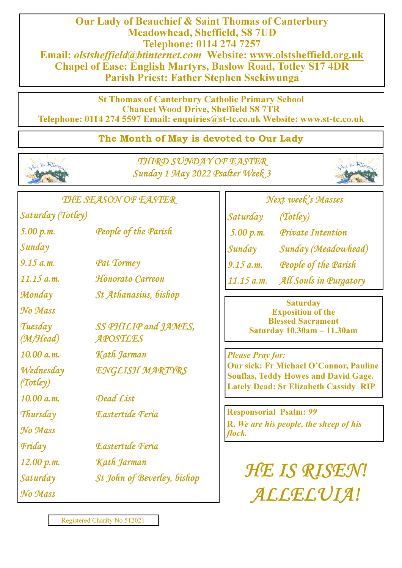Our Lady of Beauchief & Saint Thomas of Canterbury Meadowhead, Sheffield, S8 7UD Telephone: 0114 274 7257 Email: olstsheffield@btinternet.com Website: www.olstsheffield.org.uk Chapel of Ease: English Martyrs, Baslow Road, Totley S17 4DR Parish Priest: Father Stephen Ssekiwunga

St Thomas of Canterbury Catholic Primary School Chancet Wood Drive, Sheffield S8 7TR Telephone: 0114 274 5597 Email: enquiries@st**-**tc.co.uk Website: www.st**-**tc.co.uk

## The Month of May is devoted to Our Lady



THIRD SUNDAY OF EASTER Sunday 1 May 2022 Psalter Week 3



THE SEASON OF EASTER

Saturday (Totley) 5.00 p.m. People of the Parish

Sunday

9.15 a.m. Pat Tormey

11.15 a.m. Honorato Carreon

Monday St Athanasius, bishop

No Mass

Tuesday

(M/Head)

Wednesday (Totley)

No Mass

No Mass

SS PHILIP and JAMES, APOSTLES

10.00 a.m. Kath Jarman

ENGLISH MARTYRS

10.00 a.m. Dead List

Thursday Eastertide Feria

Friday Eastertide Feria

12.00 p.m. Kath Jarman

Saturday St John of Beverley, bishop

## Next week's Masses

Saturday (Totley)

5.00 p.m. Private Intention

Sunday Sunday (Meadowhead)

9.15 a.m. People of the Parish

11.15 a.m. All Souls in Purgatory

**Saturday** Exposition of the Blessed Sacrament Saturday 10.30am **–** 11.30am

## Please Pray for:

Our sick: Fr Michael O'Connor, Pauline Souflas, Teddy Howes and David Gage. Lately Dead: Sr Elizabeth Cassidy RIP

Responsorial Psalm: 99 R. We are his people, the sheep of his flock.

> HE IS RISEN! ALLELUIA!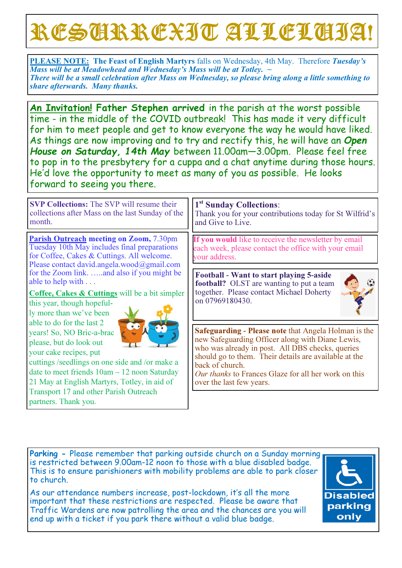# RESURREXIT ALLELUIA!

PLEASE NOTE: The Feast of English Martyrs falls on Wednesday, 4th May. Therefore Tuesday's Mass will be at Meadowhead and Wednesday's Mass will be at Totley.  $\sim$ There will be a small celebration after Mass on Wednesday, so please bring along a little something to share afterwards. Many thanks.

An Invitation! Father Stephen arrived in the parish at the worst possible time - in the middle of the COVID outbreak! This has made it very difficult for him to meet people and get to know everyone the way he would have liked. As things are now improving and to try and rectify this, he will have an Open House on Saturday, 14th May between 11.00am—3.00pm. Please feel free to pop in to the presbytery for a cuppa and a chat anytime during those hours. He'd love the opportunity to meet as many of you as possible. He looks forward to seeing you there.

SVP Collections: The SVP will resume their collections after Mass on the last Sunday of the month.

Parish Outreach meeting on Zoom, 7.30pm Tuesday 10th May includes final preparations for Coffee, Cakes & Cuttings. All welcome. Please contact david.angela.wood@gmail.com for the Zoom link. …..and also if you might be able to help with . . .

Coffee, Cakes & Cuttings will be a bit simpler

this year, though hopefully more than we've been able to do for the last 2 years! So, NO Bric-a-brac please, but do look out your cake recipes, put



cuttings /seedlings on one side and /or make a date to meet friends 10am – 12 noon Saturday 21 May at English Martyrs, Totley, in aid of Transport 17 and other Parish Outreach partners. Thank you.

## 1<sup>st</sup> Sunday Collections:

Thank you for your contributions today for St Wilfrid's and Give to Live.

If you would like to receive the newsletter by email each week, please contact the office with your email your address.

Football **-** Want to start playing 5**-**aside football? OLST are wanting to put a team together. Please contact Michael Doherty on 07969180430.



Safeguarding **-** Please note that Angela Holman is the new Safeguarding Officer along with Diane Lewis, who was already in post. All DBS checks, queries should go to them. Their details are available at the back of church.

Our thanks to Frances Glaze for all her work on this over the last few years.

Parking - Please remember that parking outside church on a Sunday morning is restricted between 9.00am-12 noon to those with a blue disabled badge. This is to ensure parishioners with mobility problems are able to park closer to church.

As our attendance numbers increase, post-lockdown, it's all the more important that these restrictions are respected. Please be aware that Traffic Wardens are now patrolling the area and the chances are you will end up with a ticket if you park there without a valid blue badge.

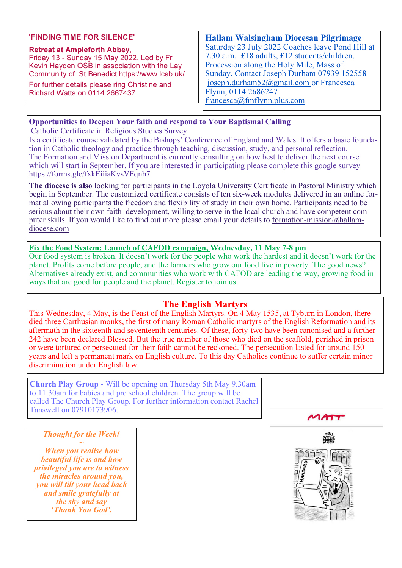#### 'FINDING TIME FOR SILENCE'

### Retreat at Ampleforth Abbey, Friday 13 - Sunday 15 May 2022. Led by Fr

Kevin Hayden OSB in association with the Lay Community of St Benedict https://www.lcsb.uk/

For further details please ring Christine and Richard Watts on 0114 2667437.

Hallam Walsingham Diocesan Pilgrimage Saturday 23 July 2022 Coaches leave Pond Hill at 7.30 a.m. £18 adults, £12 students/children, Procession along the Holy Mile, Mass of Sunday. Contact Joseph Durham 07939 152558 joseph.durham52@gmail.com or Francesca Flynn, 0114 2686247 francesca@fmflynn.plus.com

#### Opportunities to Deepen Your faith and respond to Your Baptismal Calling

Catholic Certificate in Religious Studies Survey

Is a certificate course validated by the Bishops' Conference of England and Wales. It offers a basic foundation in Catholic theology and practice through teaching, discussion, study, and personal reflection. The Formation and Mission Department is currently consulting on how best to deliver the next course which will start in September. If you are interested in participating please complete this google survey https://forms.gle/fxkEiiiaKvsVFqnb7

The diocese is also looking for participants in the Loyola University Certificate in Pastoral Ministry which begin in September. The customized certificate consists of ten six-week modules delivered in an online format allowing participants the freedom and flexibility of study in their own home. Participants need to be serious about their own faith development, willing to serve in the local church and have competent computer skills. If you would like to find out more please email your details to formation-mission@hallamdiocese.com

#### Fix the Food System: Launch of CAFOD campaign, Wednesday, 11 May 7**-**8 pm

Our food system is broken. It doesn't work for the people who work the hardest and it doesn't work for the planet. Profits come before people, and the farmers who grow our food live in poverty. The good news? Alternatives already exist, and communities who work with CAFOD are leading the way, growing food in ways that are good for people and the planet. Register to join us.

#### The English Martyrs

This Wednesday, 4 May, is the Feast of the English Martyrs. On 4 May 1535, at Tyburn in London, there died three Carthusian monks, the first of many Roman Catholic martyrs of the English Reformation and its aftermath in the sixteenth and seventeenth centuries. Of these, forty-two have been canonised and a further 242 have been declared Blessed. But the true number of those who died on the scaffold, perished in prison or were tortured or persecuted for their faith cannot be reckoned. The persecution lasted for around 150 years and left a permanent mark on English culture. To this day Catholics continue to suffer certain minor discrimination under English law.

Church Play Group **-** Will be opening on Thursday 5th May 9.30am to 11.30am for babies and pre school children. The group will be called The Church Play Group. For further information contact Rachel Tanswell on 07910173906.

 $MATT$ 

#### Thought for the Week!  $\sim$

When you realise how beautiful life is and how privileged you are to witness the miracles around you, you will tilt your head back and smile gratefully at the sky and say 'Thank You God'.